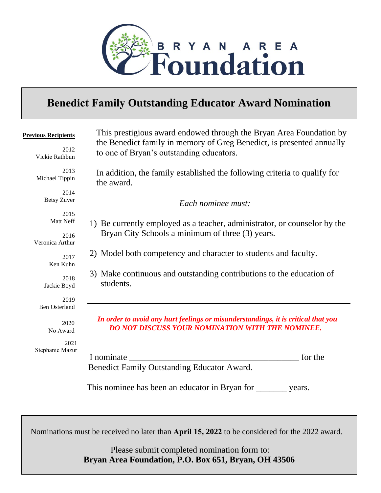

## **Benedict Family Outstanding Educator Award Nomination**

| <b>Previous Recipients</b><br>2012       | This prestigious award endowed through the Bryan Area Foundation by<br>the Benedict family in memory of Greg Benedict, is presented annually<br>to one of Bryan's outstanding educators. |
|------------------------------------------|------------------------------------------------------------------------------------------------------------------------------------------------------------------------------------------|
| Vickie Rathbun<br>2013<br>Michael Tippin | In addition, the family established the following criteria to qualify for<br>the award.                                                                                                  |
| 2014<br><b>Betsy Zuver</b>               | Each nominee must:                                                                                                                                                                       |
| 2015<br>Matt Neff<br>2016                | 1) Be currently employed as a teacher, administrator, or counselor by the<br>Bryan City Schools a minimum of three (3) years.                                                            |
| Veronica Arthur<br>2017<br>Ken Kuhn      | 2) Model both competency and character to students and faculty.                                                                                                                          |
| 2018<br>Jackie Boyd                      | 3) Make continuous and outstanding contributions to the education of<br>students.                                                                                                        |
| 2019<br><b>Ben Osterland</b>             |                                                                                                                                                                                          |
| 2020<br>No Award                         | In order to avoid any hurt feelings or misunderstandings, it is critical that you<br><b>DO NOT DISCUSS YOUR NOMINATION WITH THE NOMINEE.</b>                                             |
| 2021<br>Stephanie Mazur                  | for the<br>I nominate<br>Benedict Family Outstanding Educator Award.                                                                                                                     |
|                                          | This nominee has been an educator in Bryan for<br>years.                                                                                                                                 |

Nominations must be received no later than **April 15, 2022** to be considered for the 2022 award.

Please submit completed nomination form to: **Bryan Area Foundation, P.O. Box 651, Bryan, OH 43506**